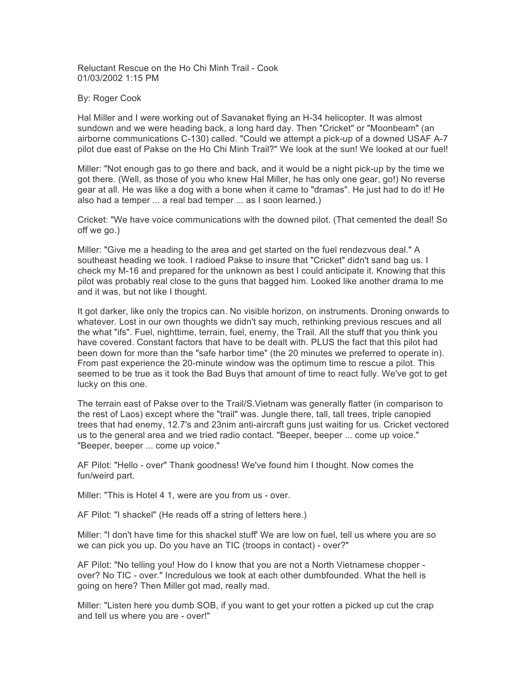Reluctant Rescue on the Ho Chi Minh Trail - Cook 01/03/2002 1:15 PM

## By: Roger Cook

Hal Miller and I were working out of Savanaket flying an H-34 helicopter. It was almost sundown and we were heading back, a long hard day. Then "Cricket" or "Moonbeam" (an airborne communications C-130) called. "Could we attempt a pick-up of a downed USAF A-7 pilot due east of Pakse on the Ho Chi Minh Trail?" We look at the sun! We looked at our fuel!

Miller: "Not enough gas to go there and back, and it would be a night pick-up by the time we got there. (Well, as those of you who knew Hal Miller, he has only one gear, go!) No reverse gear at all. He was like a dog with a bone when it came to "dramas". He just had to do it! He also had a temper ... a real bad temper ... as I soon learned.)

Cricket: "We have voice communications with the downed pilot. (That cemented the deal! So off we go.)

Miller: "Give me a heading to the area and get started on the fuel rendezvous deal." A southeast heading we took. I radioed Pakse to insure that "Cricket" didn't sand bag us. I check my M-16 and prepared for the unknown as best I could anticipate it. Knowing that this pilot was probably real close to the guns that bagged him. Looked like another drama to me and it was, but not like I thought.

It got darker, like only the tropics can. No visible horizon, on instruments. Droning onwards to whatever. Lost in our own thoughts we didn't say much, rethinking previous rescues and all the what "ifs". Fuel, nighttime, terrain, fuel, enemy, the Trail. All the stuff that you think you have covered. Constant factors that have to be dealt with. PLUS the fact that this pilot had been down for more than the "safe harbor time" (the 20 minutes we preferred to operate in). From past experience the 20-minute window was the optimum time to rescue a pilot. This seemed to be true as it took the Bad Buys that amount of time to react fully. We've got to get lucky on this one.

The terrain east of Pakse over to the Trail/S.Vietnam was generally flatter (in comparison to the rest of Laos) except where the "trail" was. Jungle there, tall, tall trees, triple canopied trees that had enemy, 12.7's and 23nim anti-aircraft guns just waiting for us. Cricket vectored us to the general area and we tried radio contact. "Beeper, beeper ... come up voice." "Beeper, beeper ... come up voice."

AF Pilot: "Hello - over" Thank goodness! We've found him I thought. Now comes the fun/weird part.

Miller: "This is Hotel 4 1, were are you from us - over.

AF Pilot: "I shackel" (He reads off a string of letters here.)

Miller: "I don't have time for this shackel stuff' We are low on fuel, tell us where you are so we can pick you up. Do you have an TIC (troops in contact) - over?"

AF Pilot: "No telling you! How do I know that you are not a North Vietnamese chopper over? No TIC - over." Incredulous we took at each other dumbfounded. What the hell is going on here? Then Miller got mad, really mad.

Miller: "Listen here you dumb SOB, if you want to get your rotten a picked up cut the crap and tell us where you are - over!"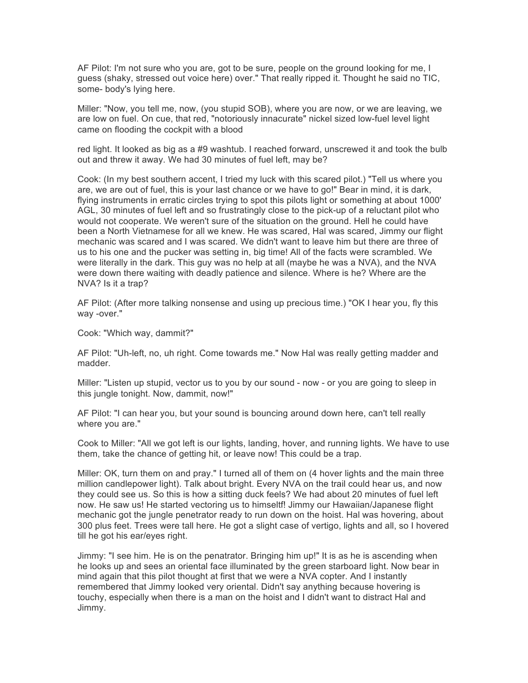AF Pilot: I'm not sure who you are, got to be sure, people on the ground looking for me, I guess (shaky, stressed out voice here) over." That really ripped it. Thought he said no TIC, some- body's lying here.

Miller: "Now, you tell me, now, (you stupid SOB), where you are now, or we are leaving, we are low on fuel. On cue, that red, "notoriously innacurate" nickel sized low-fuel level light came on flooding the cockpit with a blood

red light. It looked as big as a #9 washtub. I reached forward, unscrewed it and took the bulb out and threw it away. We had 30 minutes of fuel left, may be?

Cook: (In my best southern accent, I tried my luck with this scared pilot.) "Tell us where you are, we are out of fuel, this is your last chance or we have to go!" Bear in mind, it is dark, flying instruments in erratic circles trying to spot this pilots light or something at about 1000' AGL, 30 minutes of fuel left and so frustratingly close to the pick-up of a reluctant pilot who would not cooperate. We weren't sure of the situation on the ground. Hell he could have been a North Vietnamese for all we knew. He was scared, Hal was scared, Jimmy our flight mechanic was scared and I was scared. We didn't want to leave him but there are three of us to his one and the pucker was setting in, big time! All of the facts were scrambled. We were literally in the dark. This guy was no help at all (maybe he was a NVA), and the NVA were down there waiting with deadly patience and silence. Where is he? Where are the NVA? Is it a trap?

AF Pilot: (After more talking nonsense and using up precious time.) "OK I hear you, fly this way -over."

Cook: "Which way, dammit?"

AF Pilot: "Uh-left, no, uh right. Come towards me." Now Hal was really getting madder and madder.

Miller: "Listen up stupid, vector us to you by our sound - now - or you are going to sleep in this jungle tonight. Now, dammit, now!"

AF Pilot: "I can hear you, but your sound is bouncing around down here, can't tell really where you are."

Cook to Miller: "All we got left is our lights, landing, hover, and running lights. We have to use them, take the chance of getting hit, or leave now! This could be a trap.

Miller: OK, turn them on and pray." I turned all of them on (4 hover lights and the main three million candlepower light). Talk about bright. Every NVA on the trail could hear us, and now they could see us. So this is how a sitting duck feels? We had about 20 minutes of fuel left now. He saw us! He started vectoring us to himseltf! Jimmy our Hawaiian/Japanese flight mechanic got the jungle penetrator ready to run down on the hoist. Hal was hovering, about 300 plus feet. Trees were tall here. He got a slight case of vertigo, lights and all, so I hovered till he got his ear/eyes right.

Jimmy: "I see him. He is on the penatrator. Bringing him up!" It is as he is ascending when he looks up and sees an oriental face illuminated by the green starboard light. Now bear in mind again that this pilot thought at first that we were a NVA copter. And I instantly remembered that Jimmy looked very oriental. Didn't say anything because hovering is touchy, especially when there is a man on the hoist and I didn't want to distract Hal and Jimmy.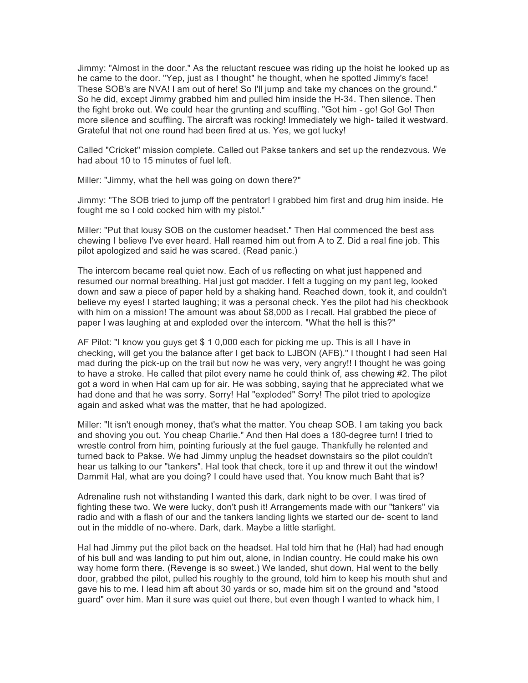Jimmy: "Almost in the door." As the reluctant rescuee was riding up the hoist he looked up as he came to the door. "Yep, just as I thought" he thought, when he spotted Jimmy's face! These SOB's are NVA! I am out of here! So I'll jump and take my chances on the ground." So he did, except Jimmy grabbed him and pulled him inside the H-34. Then silence. Then the fight broke out. We could hear the grunting and scuffling. "Got him - go! Go! Go! Then more silence and scuffling. The aircraft was rocking! Immediately we high- tailed it westward. Grateful that not one round had been fired at us. Yes, we got lucky!

Called "Cricket" mission complete. Called out Pakse tankers and set up the rendezvous. We had about 10 to 15 minutes of fuel left.

Miller: "Jimmy, what the hell was going on down there?"

Jimmy: "The SOB tried to jump off the pentrator! I grabbed him first and drug him inside. He fought me so I cold cocked him with my pistol."

Miller: "Put that lousy SOB on the customer headset." Then Hal commenced the best ass chewing I believe I've ever heard. Hall reamed him out from A to Z. Did a real fine job. This pilot apologized and said he was scared. (Read panic.)

The intercom became real quiet now. Each of us reflecting on what just happened and resumed our normal breathing. Hal just got madder. I felt a tugging on my pant leg, looked down and saw a piece of paper held by a shaking hand. Reached down, took it, and couldn't believe my eyes! I started laughing; it was a personal check. Yes the pilot had his checkbook with him on a mission! The amount was about \$8,000 as I recall. Hal grabbed the piece of paper I was laughing at and exploded over the intercom. "What the hell is this?"

AF Pilot: "I know you guys get \$ 1 0,000 each for picking me up. This is all I have in checking, will get you the balance after I get back to LJBON (AFB)." I thought I had seen Hal mad during the pick-up on the trail but now he was very, very angry!! I thought he was going to have a stroke. He called that pilot every name he could think of, ass chewing #2. The pilot got a word in when Hal cam up for air. He was sobbing, saying that he appreciated what we had done and that he was sorry. Sorry! Hal "exploded" Sorry! The pilot tried to apologize again and asked what was the matter, that he had apologized.

Miller: "It isn't enough money, that's what the matter. You cheap SOB. I am taking you back and shoving you out. You cheap Charlie." And then Hal does a 180-degree turn! I tried to wrestle control from him, pointing furiously at the fuel gauge. Thankfully he relented and turned back to Pakse. We had Jimmy unplug the headset downstairs so the pilot couldn't hear us talking to our "tankers". Hal took that check, tore it up and threw it out the window! Dammit Hal, what are you doing? I could have used that. You know much Baht that is?

Adrenaline rush not withstanding I wanted this dark, dark night to be over. I was tired of fighting these two. We were lucky, don't push it! Arrangements made with our "tankers" via radio and with a flash of our and the tankers landing lights we started our de- scent to land out in the middle of no-where. Dark, dark. Maybe a little starlight.

Hal had Jimmy put the pilot back on the headset. Hal told him that he (Hal) had had enough of his bull and was landing to put him out, alone, in Indian country. He could make his own way home form there. (Revenge is so sweet.) We landed, shut down, Hal went to the belly door, grabbed the pilot, pulled his roughly to the ground, told him to keep his mouth shut and gave his to me. I lead him aft about 30 yards or so, made him sit on the ground and "stood guard" over him. Man it sure was quiet out there, but even though I wanted to whack him, I